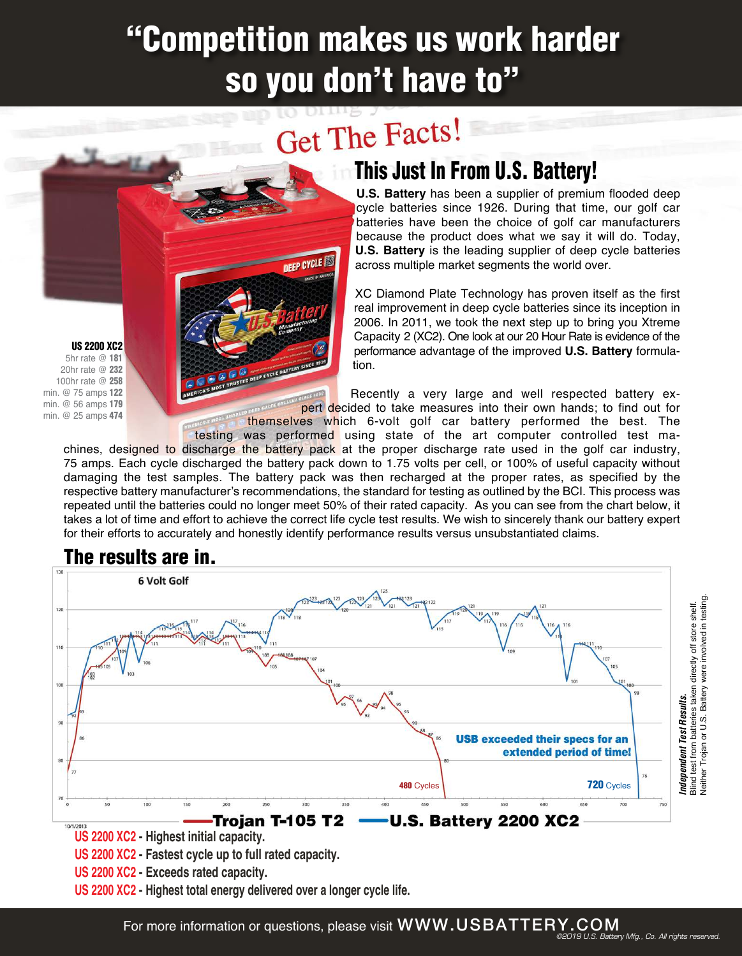## "Competition makes us work harder so you don't have to"

# Get The Facts!

**DEEP CYCLE** 

## **This Just In From U.S. Battery!**

**U.S. Battery** has been a supplier of premium flooded deep cycle batteries since 1926. During that time, our golf car batteries have been the choice of golf car manufacturers because the product does what we say it will do. Today, **U.S. Battery** is the leading supplier of deep cycle batteries across multiple market segments the world over.

XC Diamond Plate Technology has proven itself as the first real improvement in deep cycle batteries since its inception in 2006. In 2011, we took the next step up to bring you Xtreme Capacity 2 (XC2). One look at our 20 Hour Rate is evidence of the performance advantage of the improved **U.S. Battery** formulation.

Recently a very large and well respected battery expert decided to take measures into their own hands; to find out for

themselves which 6-volt golf car battery performed the best. The

testing was performed using state of the art computer controlled test machines, designed to discharge the battery pack at the proper discharge rate used in the golf car industry, 75 amps. Each cycle discharged the battery pack down to 1.75 volts per cell, or 100% of useful capacity without damaging the test samples. The battery pack was then recharged at the proper rates, as specified by the respective battery manufacturer's recommendations, the standard for testing as outlined by the BCI. This process was repeated until the batteries could no longer meet 50% of their rated capacity. As you can see from the chart below, it takes a lot of time and effort to achieve the correct life cycle test results. We wish to sincerely thank our battery expert for their efforts to accurately and honestly identify performance results versus unsubstantiated claims.



### **US 2200 XC2 - Highest total energy delivered over a longer cycle life.**

US 2200 XC2 5hr rate @ 181 20hr rate @ 232 100hr rate @ 258 min. @ 75 amps 122 min. @ 56 amps 179 min. @ 25 amps 474